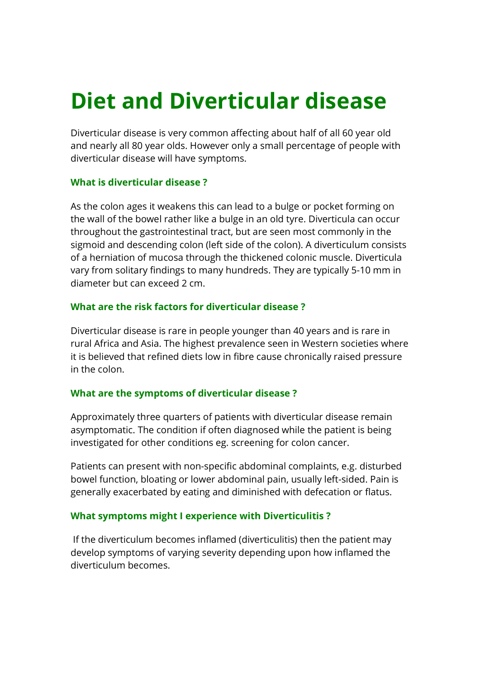# Diet and Diverticular disease

Diverticular disease is very common affecting about half of all 60 year old and nearly all 80 year olds. However only a small percentage of people with diverticular disease will have symptoms.

#### What is diverticular disease ?

As the colon ages it weakens this can lead to a bulge or pocket forming on the wall of the bowel rather like a bulge in an old tyre. Diverticula can occur throughout the gastrointestinal tract, but are seen most commonly in the sigmoid and descending colon (left side of the colon). A diverticulum consists of a herniation of mucosa through the thickened colonic muscle. Diverticula vary from solitary findings to many hundreds. They are typically 5-10 mm in diameter but can exceed 2 cm.

## What are the risk factors for diverticular disease ?

Diverticular disease is rare in people younger than 40 years and is rare in rural Africa and Asia. The highest prevalence seen in Western societies where it is believed that refined diets low in fibre cause chronically raised pressure in the colon.

## What are the symptoms of diverticular disease ?

Approximately three quarters of patients with diverticular disease remain asymptomatic. The condition if often diagnosed while the patient is being investigated for other conditions eg. screening for colon cancer.

Patients can present with non-specific abdominal complaints, e.g. disturbed bowel function, bloating or lower abdominal pain, usually left-sided. Pain is generally exacerbated by eating and diminished with defecation or flatus.

## What symptoms might I experience with Diverticulitis ?

 If the diverticulum becomes inflamed (diverticulitis) then the patient may develop symptoms of varying severity depending upon how inflamed the diverticulum becomes.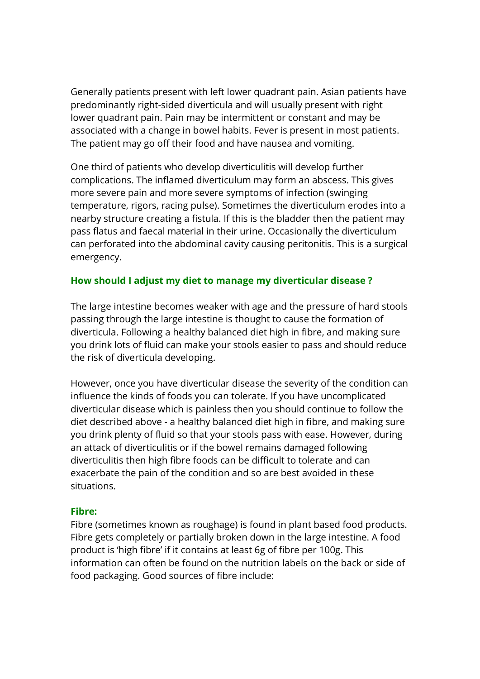Generally patients present with left lower quadrant pain. Asian patients have predominantly right-sided diverticula and will usually present with right lower quadrant pain. Pain may be intermittent or constant and may be associated with a change in bowel habits. Fever is present in most patients. The patient may go off their food and have nausea and vomiting.

One third of patients who develop diverticulitis will develop further complications. The inflamed diverticulum may form an abscess. This gives more severe pain and more severe symptoms of infection (swinging temperature, rigors, racing pulse). Sometimes the diverticulum erodes into a nearby structure creating a fistula. If this is the bladder then the patient may pass flatus and faecal material in their urine. Occasionally the diverticulum can perforated into the abdominal cavity causing peritonitis. This is a surgical emergency.

#### How should I adjust my diet to manage my diverticular disease ?

The large intestine becomes weaker with age and the pressure of hard stools passing through the large intestine is thought to cause the formation of diverticula. Following a healthy balanced diet high in fibre, and making sure you drink lots of fluid can make your stools easier to pass and should reduce the risk of diverticula developing.

However, once you have diverticular disease the severity of the condition can influence the kinds of foods you can tolerate. If you have uncomplicated diverticular disease which is painless then you should continue to follow the diet described above - a healthy balanced diet high in fibre, and making sure you drink plenty of fluid so that your stools pass with ease. However, during an attack of diverticulitis or if the bowel remains damaged following diverticulitis then high fibre foods can be difficult to tolerate and can exacerbate the pain of the condition and so are best avoided in these situations.

#### Fibre:

Fibre (sometimes known as roughage) is found in plant based food products. Fibre gets completely or partially broken down in the large intestine. A food product is 'high fibre' if it contains at least 6g of fibre per 100g. This information can often be found on the nutrition labels on the back or side of food packaging. Good sources of fibre include: